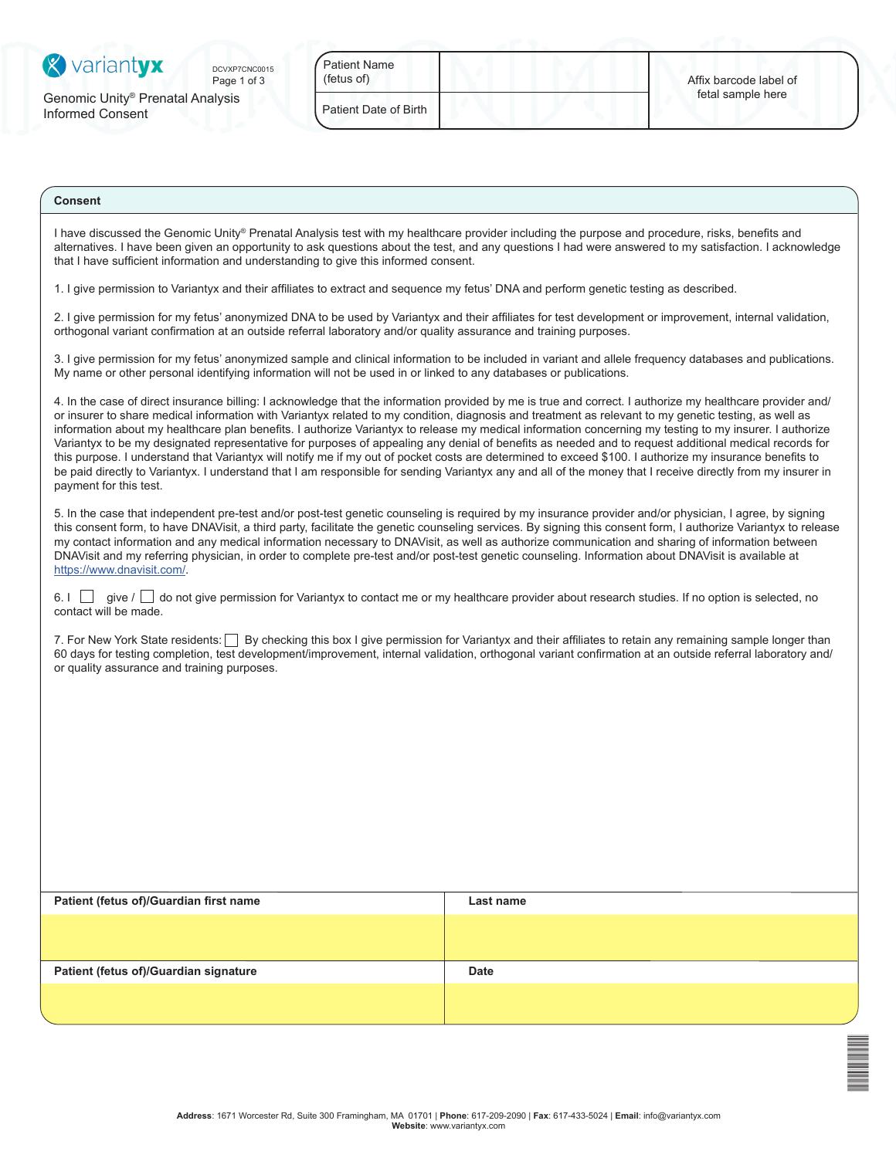| <b>X</b> variantyx                                               | DCVXP7CNC0015<br>Page 1 of 3 | <b>Patient Name</b><br>(fetus of) | Affix barcode label of |
|------------------------------------------------------------------|------------------------------|-----------------------------------|------------------------|
| Genomic Unity <sup>®</sup> Prenatal Analysis<br>Informed Consent |                              | Patient Date of Birth             | fetal sample here      |
|                                                                  |                              |                                   |                        |

## **Consent**

I have discussed the Genomic Unity® Prenatal Analysis test with my healthcare provider including the purpose and procedure, risks, benefits and alternatives. I have been given an opportunity to ask questions about the test, and any questions I had were answered to my satisfaction. I acknowledge that I have sufficient information and understanding to give this informed consent.

1. I give permission to Variantyx and their affiliates to extract and sequence my fetus' DNA and perform genetic testing as described.

2. I give permission for my fetus' anonymized DNA to be used by Variantyx and their affiliates for test development or improvement, internal validation, orthogonal variant confirmation at an outside referral laboratory and/or quality assurance and training purposes.

3. I give permission for my fetus' anonymized sample and clinical information to be included in variant and allele frequency databases and publications. My name or other personal identifying information will not be used in or linked to any databases or publications.

4. In the case of direct insurance billing: I acknowledge that the information provided by me is true and correct. I authorize my healthcare provider and/ or insurer to share medical information with Variantyx related to my condition, diagnosis and treatment as relevant to my genetic testing, as well as information about my healthcare plan benefits. I authorize Variantyx to release my medical information concerning my testing to my insurer. I authorize Variantyx to be my designated representative for purposes of appealing any denial of benefits as needed and to request additional medical records for this purpose. I understand that Variantyx will notify me if my out of pocket costs are determined to exceed \$100. I authorize my insurance benefits to be paid directly to Variantyx. I understand that I am responsible for sending Variantyx any and all of the money that I receive directly from my insurer in payment for this test.

5. In the case that independent pre-test and/or post-test genetic counseling is required by my insurance provider and/or physician, I agree, by signing this consent form, to have DNAVisit, a third party, facilitate the genetic counseling services. By signing this consent form, I authorize Variantyx to release my contact information and any medical information necessary to DNAVisit, as well as authorize communication and sharing of information between DNAVisit and my referring physician, in order to complete pre-test and/or post-test genetic counseling. Information about DNAVisit is available at <https://www.dnavisit.com/>.

 $6.1 \Box$  give /  $\Box$  do not give permission for Variantyx to contact me or my healthcare provider about research studies. If no option is selected, no contact will be made.

7. For New York State residents: **By checking this box I give permission for Variantyx and their affiliates to retain any remaining sample longer than** 60 days for testing completion, test development/improvement, internal validation, orthogonal variant confirmation at an outside referral laboratory and/ or quality assurance and training purposes.

| Patient (fetus of)/Guardian first name | Last name   |
|----------------------------------------|-------------|
|                                        |             |
|                                        |             |
| Patient (fetus of)/Guardian signature  | <b>Date</b> |
|                                        |             |
|                                        |             |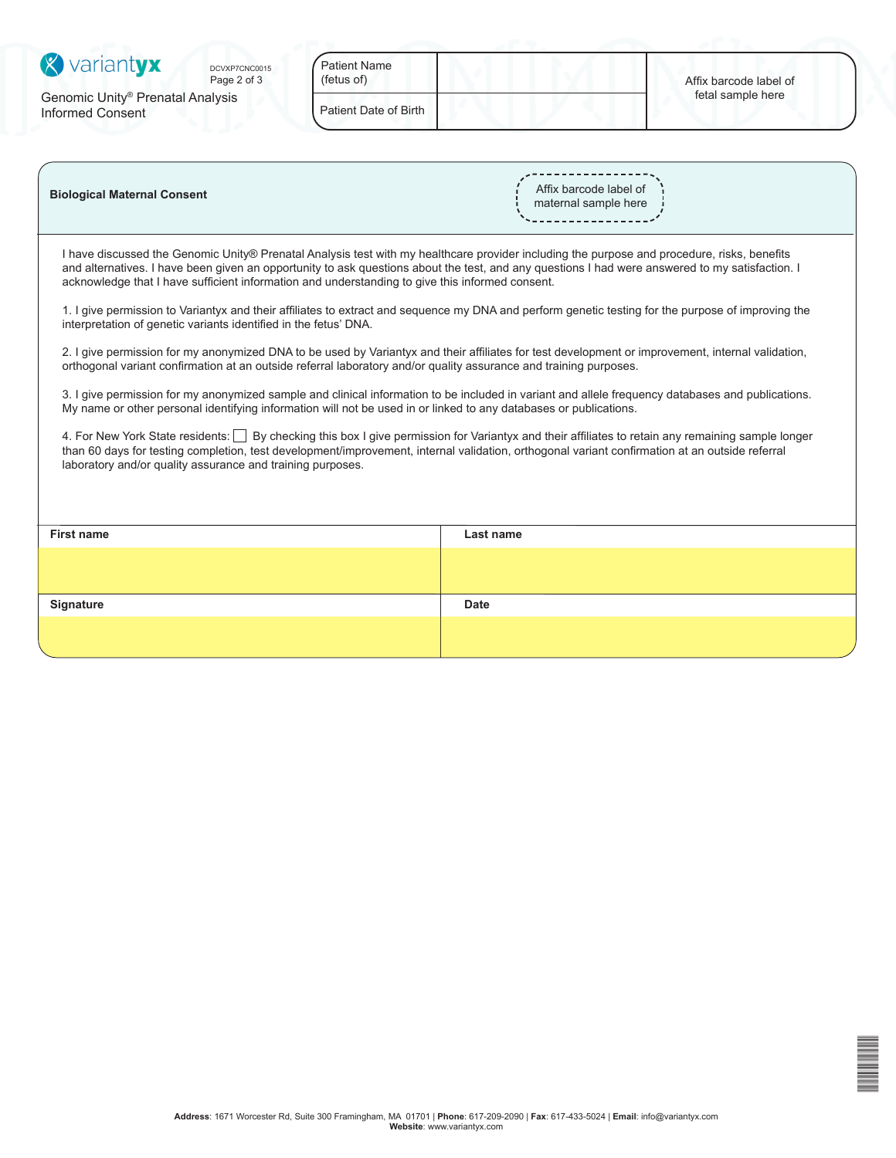| <b>X</b> variantyx                                                      | DCVXP7CNC0015<br>Page 2 of 3 | <b>Patient Name</b><br>(fetus of) | Affix barcode label of |
|-------------------------------------------------------------------------|------------------------------|-----------------------------------|------------------------|
| Genomic Unity <sup>®</sup> Prenatal Analysis<br><b>Informed Consent</b> |                              | Patient Date of Birth             | fetal sample here      |
|                                                                         |                              |                                   |                        |

| <b>Biological Maternal Consent</b> | Affix barcode label of<br>maternal sample here |
|------------------------------------|------------------------------------------------|
|                                    |                                                |

I have discussed the Genomic Unity® Prenatal Analysis test with my healthcare provider including the purpose and procedure, risks, benefits and alternatives. I have been given an opportunity to ask questions about the test, and any questions I had were answered to my satisfaction. I acknowledge that I have sufficient information and understanding to give this informed consent.

1. I give permission to Variantyx and their affiliates to extract and sequence my DNA and perform genetic testing for the purpose of improving the interpretation of genetic variants identified in the fetus' DNA.

2. I give permission for my anonymized DNA to be used by Variantyx and their affiliates for test development or improvement, internal validation, orthogonal variant confirmation at an outside referral laboratory and/or quality assurance and training purposes.

3. I give permission for my anonymized sample and clinical information to be included in variant and allele frequency databases and publications. My name or other personal identifying information will not be used in or linked to any databases or publications.

4. For New York State residents: **By checking this box I give permission for Variantyx and their affiliates to retain any remaining sample longer** than 60 days for testing completion, test development/improvement, internal validation, orthogonal variant confirmation at an outside referral laboratory and/or quality assurance and training purposes.

| First name | Last name   |
|------------|-------------|
|            |             |
|            |             |
| Signature  | <b>Date</b> |
|            |             |
|            |             |

| ٠ |  |
|---|--|
|   |  |
|   |  |
|   |  |
|   |  |
|   |  |
|   |  |
|   |  |
|   |  |